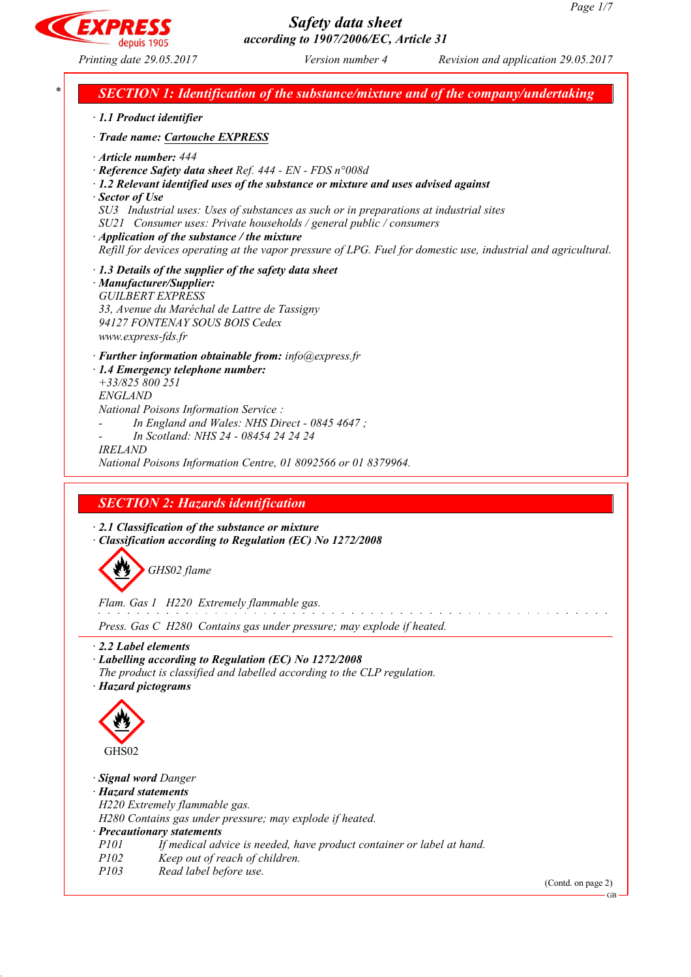EXPR

*Printing date 29.05.2017 Version number 4 Revision and application 29.05.2017*

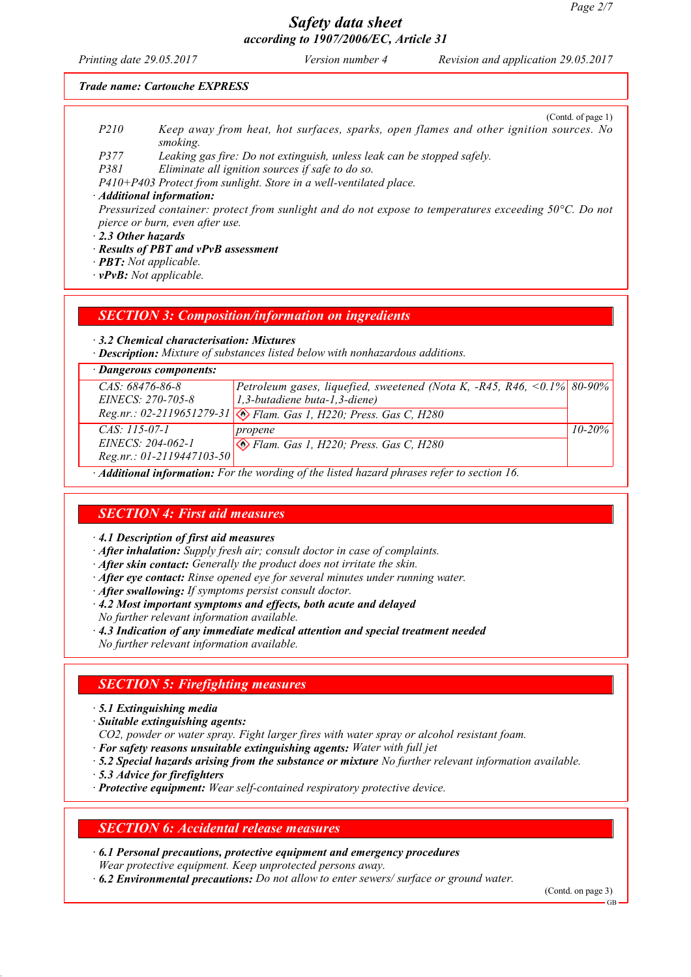*Printing date 29.05.2017 Version number 4 Revision and application 29.05.2017*

#### *Trade name: Cartouche EXPRESS*

- (Contd. of page 1) *P210 Keep away from heat, hot surfaces, sparks, open flames and other ignition sources. No smoking.*
- *P377 Leaking gas fire: Do not extinguish, unless leak can be stopped safely.*
- *P381 Eliminate all ignition sources if safe to do so.*

*P410+P403 Protect from sunlight. Store in a well-ventilated place.*

#### *· Additional information:*

*Pressurized container: protect from sunlight and do not expose to temperatures exceeding 50°C. Do not pierce or burn, even after use.*

*· 2.3 Other hazards*

*· Results of PBT and vPvB assessment*

- *· PBT: Not applicable.*
- *· vPvB: Not applicable.*

#### *SECTION 3: Composition/information on ingredients*

*· 3.2 Chemical characterisation: Mixtures*

*· Description: Mixture of substances listed below with nonhazardous additions.*

| · Dangerous components:     |                                                                                                |             |
|-----------------------------|------------------------------------------------------------------------------------------------|-------------|
| $CAS: 68476-86-8$           | Petroleum gases, liquefied, sweetened (Nota K, $-R45$ , $R46$ , $\leq 0.1\%$ 80-90%            |             |
| $EINECS: 270-705-8$         | 1,3-butadiene buta-1,3-diene)                                                                  |             |
|                             | Reg.nr.: 02-2119651279-31 3 Flam. Gas 1, H220; Press. Gas C, H280                              |             |
| $CAS: 115-07-1$             | propene                                                                                        | $10 - 20\%$ |
| EINECS: 204-062-1           | Flam. Gas 1, H220; Press. Gas C, H280                                                          |             |
| $Reg.nr.: 01-2119447103-50$ |                                                                                                |             |
|                             | $\mu$ Additional information, Ear the wording of the listed hazard phrases refer to section 16 |             |

*· Additional information: For the wording of the listed hazard phrases refer to section 16.*

# *SECTION 4: First aid measures*

*· 4.1 Description of first aid measures*

- *· After inhalation: Supply fresh air; consult doctor in case of complaints.*
- *· After skin contact: Generally the product does not irritate the skin.*
- *· After eye contact: Rinse opened eye for several minutes under running water.*
- *· After swallowing: If symptoms persist consult doctor.*
- *· 4.2 Most important symptoms and effects, both acute and delayed*
- *No further relevant information available.*
- *· 4.3 Indication of any immediate medical attention and special treatment needed*
- *No further relevant information available.*

# *SECTION 5: Firefighting measures*

- *· 5.1 Extinguishing media*
- *· Suitable extinguishing agents:*
- *CO2, powder or water spray. Fight larger fires with water spray or alcohol resistant foam.*
- *· For safety reasons unsuitable extinguishing agents: Water with full jet*
- *· 5.2 Special hazards arising from the substance or mixture No further relevant information available.*
- *· 5.3 Advice for firefighters*
- *· Protective equipment: Wear self-contained respiratory protective device.*

## *SECTION 6: Accidental release measures*

- *· 6.1 Personal precautions, protective equipment and emergency procedures Wear protective equipment. Keep unprotected persons away.*
- *· 6.2 Environmental precautions: Do not allow to enter sewers/ surface or ground water.*

(Contd. on page 3)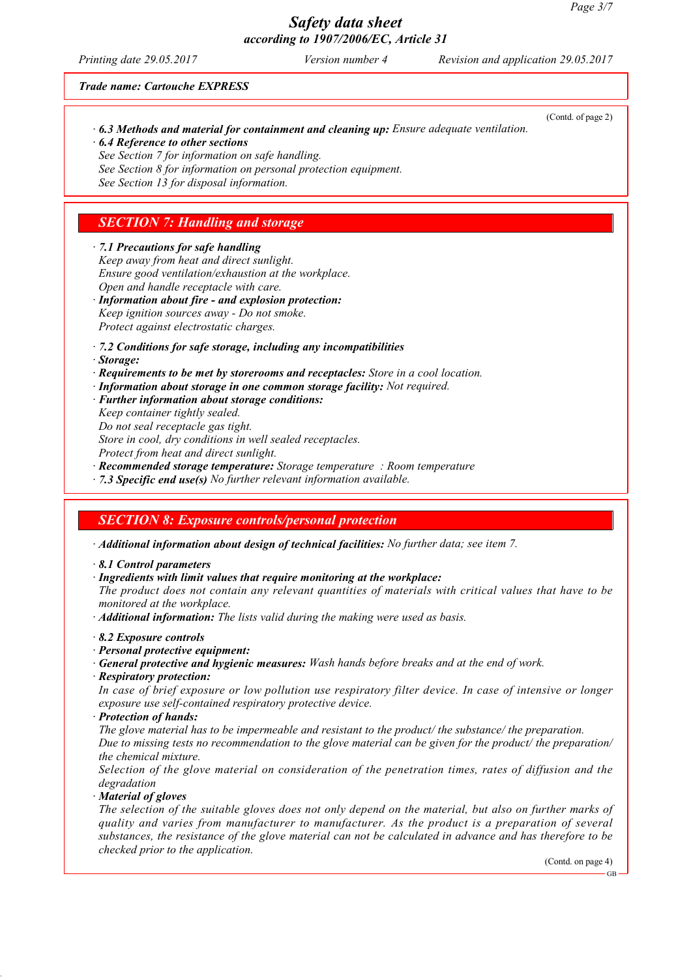(Contd. of page 2)

# *Safety data sheet according to 1907/2006/EC, Article 31*

*Printing date 29.05.2017 Version number 4 Revision and application 29.05.2017*

#### *Trade name: Cartouche EXPRESS*

- *· 6.3 Methods and material for containment and cleaning up: Ensure adequate ventilation. · 6.4 Reference to other sections*
- *See Section 7 for information on safe handling.*
- *See Section 8 for information on personal protection equipment.*

*See Section 13 for disposal information.*

# *SECTION 7: Handling and storage*

#### *· 7.1 Precautions for safe handling*

- *Keep away from heat and direct sunlight. Ensure good ventilation/exhaustion at the workplace. Open and handle receptacle with care.*
- *· Information about fire - and explosion protection: Keep ignition sources away - Do not smoke. Protect against electrostatic charges.*
- *· 7.2 Conditions for safe storage, including any incompatibilities*
- *· Storage:*
- *· Requirements to be met by storerooms and receptacles: Store in a cool location.*
- *· Information about storage in one common storage facility: Not required.*
- *· Further information about storage conditions:*
- *Keep container tightly sealed.*
- *Do not seal receptacle gas tight.*

*Store in cool, dry conditions in well sealed receptacles.*

*Protect from heat and direct sunlight.*

*· Recommended storage temperature: Storage temperature : Room temperature*

*· 7.3 Specific end use(s) No further relevant information available.*

# *SECTION 8: Exposure controls/personal protection*

*· Additional information about design of technical facilities: No further data; see item 7.*

*· 8.1 Control parameters*

*· Ingredients with limit values that require monitoring at the workplace:*

*The product does not contain any relevant quantities of materials with critical values that have to be monitored at the workplace.*

*· Additional information: The lists valid during the making were used as basis.*

*· 8.2 Exposure controls*

- *· Personal protective equipment:*
- *· General protective and hygienic measures: Wash hands before breaks and at the end of work.*
- *· Respiratory protection:*

In case of brief exposure or low pollution use respiratory filter device. In case of intensive or longer *exposure use self-contained respiratory protective device.*

*· Protection of hands:*

*The glove material has to be impermeable and resistant to the product/ the substance/ the preparation.* Due to missing tests no recommendation to the glove material can be given for the product/ the preparation/ *the chemical mixture.*

*Selection of the glove material on consideration of the penetration times, rates of diffusion and the degradation*

*· Material of gloves*

The selection of the suitable gloves does not only depend on the material, but also on further marks of *quality and varies from manufacturer to manufacturer. As the product is a preparation of several* substances, the resistance of the glove material can not be calculated in advance and has therefore to be *checked prior to the application.*

GB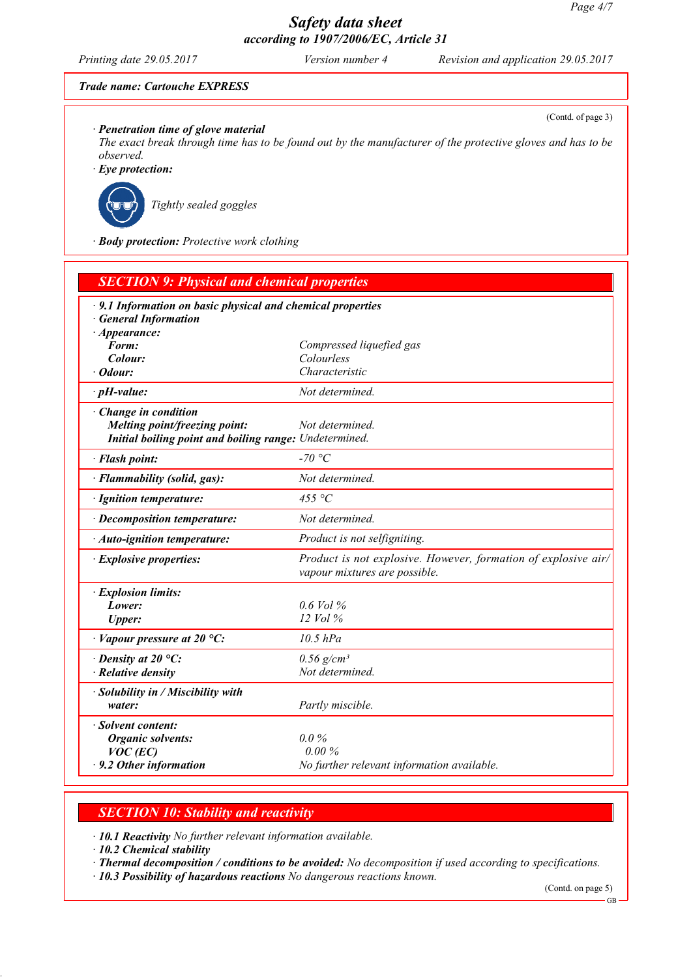(Contd. of page 3)

# *Safety data sheet according to 1907/2006/EC, Article 31*

*Printing date 29.05.2017 Version number 4 Revision and application 29.05.2017*

### *Trade name: Cartouche EXPRESS*

*· Penetration time of glove material*

The exact break through time has to be found out by the manufacturer of the protective gloves and has to be *observed.*

*· Eye protection:*



*Tightly sealed goggles*

*· Body protection: Protective work clothing*

| <b>SECTION 9: Physical and chemical properties</b>                                              |                                                                                                 |  |
|-------------------------------------------------------------------------------------------------|-------------------------------------------------------------------------------------------------|--|
| $\cdot$ 9.1 Information on basic physical and chemical properties<br><b>General Information</b> |                                                                                                 |  |
| $\cdot$ Appearance:<br>Form:                                                                    | Compressed liquefied gas                                                                        |  |
| Colour:                                                                                         | Colourless                                                                                      |  |
| · Odour:                                                                                        | Characteristic                                                                                  |  |
| $\cdot$ pH-value:                                                                               | Not determined.                                                                                 |  |
| Change in condition                                                                             |                                                                                                 |  |
| Melting point/freezing point:                                                                   | Not determined.                                                                                 |  |
| Initial boiling point and boiling range: Undetermined.                                          |                                                                                                 |  |
| · Flash point:                                                                                  | -70 °C                                                                                          |  |
| · Flammability (solid, gas):                                                                    | Not determined.                                                                                 |  |
| · Ignition temperature:                                                                         | 455 °C                                                                                          |  |
| · Decomposition temperature:                                                                    | Not determined.                                                                                 |  |
| · Auto-ignition temperature:                                                                    | Product is not selfigniting.                                                                    |  |
| · Explosive properties:                                                                         | Product is not explosive. However, formation of explosive air/<br>vapour mixtures are possible. |  |
| · Explosion limits:                                                                             |                                                                                                 |  |
| Lower:                                                                                          | $0.6$ Vol $%$                                                                                   |  |
| <b>Upper:</b>                                                                                   | 12 Vol %                                                                                        |  |
| $\cdot$ Vapour pressure at 20 °C:                                                               | $10.5$ $hPa$                                                                                    |  |
| $\cdot$ Density at 20 °C:                                                                       | $0.56$ g/cm <sup>3</sup>                                                                        |  |
| · Relative density                                                                              | Not determined.                                                                                 |  |
| · Solubility in / Miscibility with                                                              |                                                                                                 |  |
| water:                                                                                          | Partly miscible.                                                                                |  |
| · Solvent content:                                                                              |                                                                                                 |  |
| <b>Organic solvents:</b>                                                                        | $0.0\%$                                                                                         |  |
| $VOC$ (EC)                                                                                      | 0.00%                                                                                           |  |
| $\cdot$ 9.2 Other information                                                                   | No further relevant information available.                                                      |  |

# *SECTION 10: Stability and reactivity*

*· 10.1 Reactivity No further relevant information available.*

*· 10.2 Chemical stability*

*· Thermal decomposition / conditions to be avoided: No decomposition if used according to specifications.*

*· 10.3 Possibility of hazardous reactions No dangerous reactions known.*

(Contd. on page 5)

GB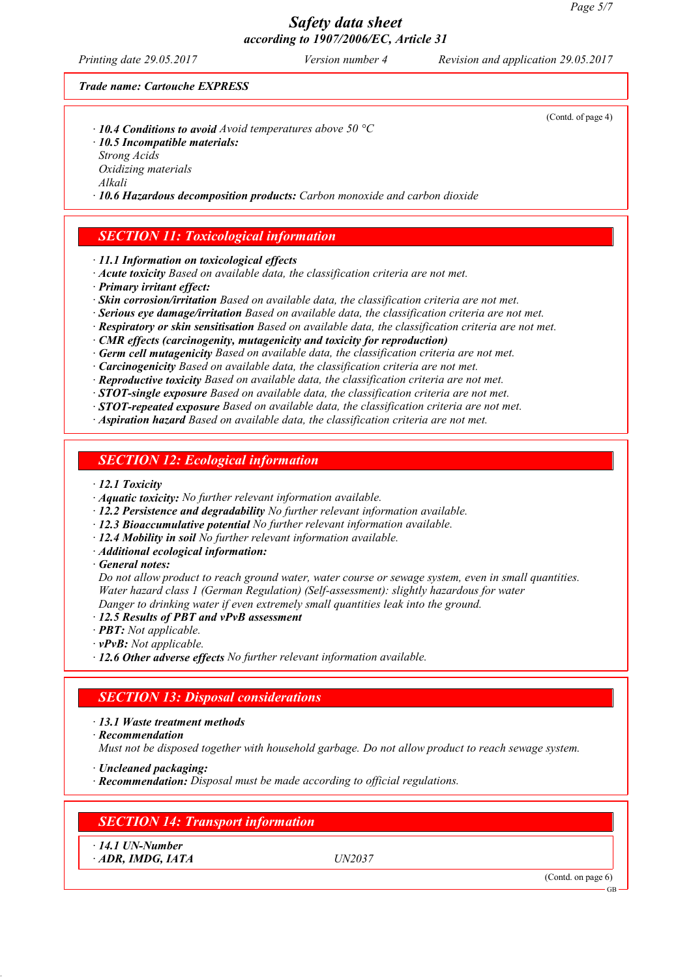*Printing date 29.05.2017 Version number 4 Revision and application 29.05.2017*

#### *Trade name: Cartouche EXPRESS*

- *· 10.4 Conditions to avoid Avoid temperatures above 50 °C*
- *· 10.5 Incompatible materials:*
- *Strong Acids*
- *Oxidizing materials Alkali*

*· 10.6 Hazardous decomposition products: Carbon monoxide and carbon dioxide*

## *SECTION 11: Toxicological information*

*· 11.1 Information on toxicological effects*

- *· Acute toxicity Based on available data, the classification criteria are not met.*
- *· Primary irritant effect:*

*· Skin corrosion/irritation Based on available data, the classification criteria are not met.*

- *· Serious eye damage/irritation Based on available data, the classification criteria are not met.*
- *· Respiratory or skin sensitisation Based on available data, the classification criteria are not met.*
- *· CMR effects (carcinogenity, mutagenicity and toxicity for reproduction)*
- *· Germ cell mutagenicity Based on available data, the classification criteria are not met.*
- *· Carcinogenicity Based on available data, the classification criteria are not met.*
- *· Reproductive toxicity Based on available data, the classification criteria are not met.*
- *· STOT-single exposure Based on available data, the classification criteria are not met.*
- *· STOT-repeated exposure Based on available data, the classification criteria are not met.*
- *· Aspiration hazard Based on available data, the classification criteria are not met.*

## *SECTION 12: Ecological information*

#### *· 12.1 Toxicity*

- *· Aquatic toxicity: No further relevant information available.*
- *· 12.2 Persistence and degradability No further relevant information available.*
- *· 12.3 Bioaccumulative potential No further relevant information available.*
- *· 12.4 Mobility in soil No further relevant information available.*
- *· Additional ecological information:*

*· General notes:*

*Do not allow product to reach ground water, water course or sewage system, even in small quantities. Water hazard class 1 (German Regulation) (Self-assessment): slightly hazardous for water Danger to drinking water if even extremely small quantities leak into the ground.*

- *· 12.5 Results of PBT and vPvB assessment*
- *· PBT: Not applicable.*
- *· vPvB: Not applicable.*
- *· 12.6 Other adverse effects No further relevant information available.*

# *SECTION 13: Disposal considerations*

- *· 13.1 Waste treatment methods*
- *· Recommendation*
- *Must not be disposed together with household garbage. Do not allow product to reach sewage system.*
- *· Uncleaned packaging:*
- *· Recommendation: Disposal must be made according to official regulations.*

# *SECTION 14: Transport information*

*· 14.1 UN-Number · ADR, IMDG, IATA UN2037*

(Contd. on page 6)

GB

(Contd. of page 4)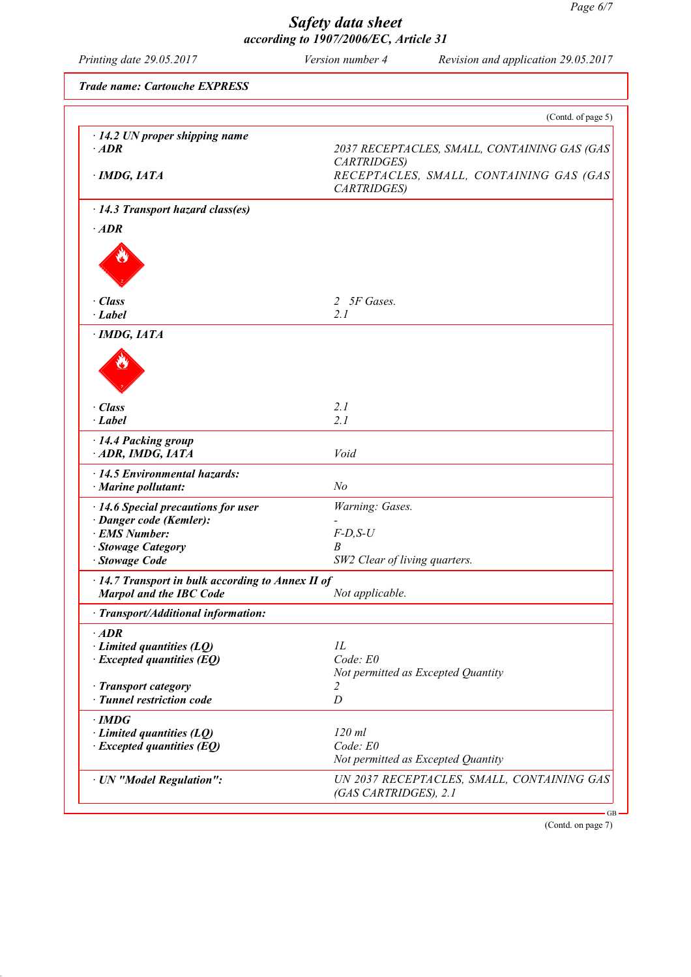| <b>Trade name: Cartouche EXPRESS</b><br>$\cdot$ 14.2 UN proper shipping name<br>$·$ <i>ADR</i><br>· IMDG, IATA<br>$\cdot$ 14.3 Transport hazard class(es)<br>$·$ <i>ADR</i><br>· Class<br>$\cdot$ Label<br>$\cdot$ IMDG, IATA | (Contd. of page 5)<br>2037 RECEPTACLES, SMALL, CONTAINING GAS (GAS<br>CARTRIDGES)<br>RECEPTACLES, SMALL, CONTAINING GAS (GAS<br>CARTRIDGES)<br>2 5F Gases.<br>2.1 |
|-------------------------------------------------------------------------------------------------------------------------------------------------------------------------------------------------------------------------------|-------------------------------------------------------------------------------------------------------------------------------------------------------------------|
|                                                                                                                                                                                                                               |                                                                                                                                                                   |
|                                                                                                                                                                                                                               |                                                                                                                                                                   |
|                                                                                                                                                                                                                               |                                                                                                                                                                   |
|                                                                                                                                                                                                                               |                                                                                                                                                                   |
|                                                                                                                                                                                                                               |                                                                                                                                                                   |
|                                                                                                                                                                                                                               |                                                                                                                                                                   |
|                                                                                                                                                                                                                               |                                                                                                                                                                   |
|                                                                                                                                                                                                                               |                                                                                                                                                                   |
|                                                                                                                                                                                                                               |                                                                                                                                                                   |
|                                                                                                                                                                                                                               |                                                                                                                                                                   |
| · Class                                                                                                                                                                                                                       | 2.1                                                                                                                                                               |
| $\cdot$ Label                                                                                                                                                                                                                 | 2.1                                                                                                                                                               |
| · 14.4 Packing group<br>ADR, IMDG, IATA                                                                                                                                                                                       | Void                                                                                                                                                              |
| $\cdot$ 14.5 Environmental hazards:<br>· Marine pollutant:                                                                                                                                                                    | N <sub>o</sub>                                                                                                                                                    |
| · 14.6 Special precautions for user                                                                                                                                                                                           | Warning: Gases.                                                                                                                                                   |
| · Danger code (Kemler):<br>· EMS Number:                                                                                                                                                                                      | $F-D, S-U$                                                                                                                                                        |
| · Stowage Category                                                                                                                                                                                                            | B                                                                                                                                                                 |
| Stowage Code                                                                                                                                                                                                                  | SW2 Clear of living quarters.                                                                                                                                     |
| $\cdot$ 14.7 Transport in bulk according to Annex II of<br><b>Marpol and the IBC Code</b>                                                                                                                                     | Not applicable.                                                                                                                                                   |
| · Transport/Additional information:                                                                                                                                                                                           |                                                                                                                                                                   |
| $\cdot$ ADR                                                                                                                                                                                                                   |                                                                                                                                                                   |
| $\cdot$ Limited quantities (LQ)                                                                                                                                                                                               | 1L                                                                                                                                                                |
| $\cdot$ Excepted quantities (EQ)                                                                                                                                                                                              | Code: E0                                                                                                                                                          |
|                                                                                                                                                                                                                               | Not permitted as Excepted Quantity<br>2                                                                                                                           |
| · Transport category<br>· Tunnel restriction code                                                                                                                                                                             | D                                                                                                                                                                 |
|                                                                                                                                                                                                                               |                                                                                                                                                                   |
| $\cdot$ IMDG<br>$\cdot$ Limited quantities (LQ)                                                                                                                                                                               | $120$ ml                                                                                                                                                          |
| $\cdot$ Excepted quantities (EQ)                                                                                                                                                                                              | Code: E0                                                                                                                                                          |
|                                                                                                                                                                                                                               | Not permitted as Excepted Quantity                                                                                                                                |
| · UN "Model Regulation":                                                                                                                                                                                                      | UN 2037 RECEPTACLES, SMALL, CONTAINING GAS<br>(GAS CARTRIDGES), 2.1                                                                                               |

(Contd. on page 7)